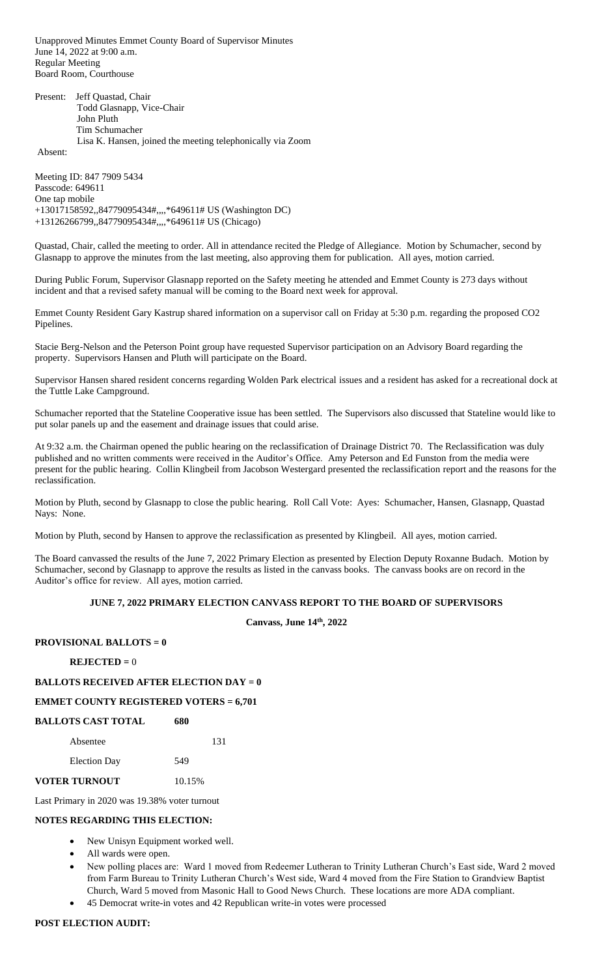Unapproved Minutes Emmet County Board of Supervisor Minutes June 14, 2022 at 9:00 a.m. Regular Meeting Board Room, Courthouse

|  | Present: Jeff Ouastad, Chair                               |
|--|------------------------------------------------------------|
|  | Todd Glasnapp, Vice-Chair                                  |
|  | John Pluth                                                 |
|  | Tim Schumacher                                             |
|  | Lisa K. Hansen, joined the meeting telephonically via Zoom |
|  |                                                            |

Absent:

Meeting ID: 847 7909 5434 Passcode: 649611 One tap mobile +13017158592,,84779095434#,,,,\*649611# US (Washington DC) +13126266799,,84779095434#,,,,\*649611# US (Chicago)

Quastad, Chair, called the meeting to order. All in attendance recited the Pledge of Allegiance. Motion by Schumacher, second by Glasnapp to approve the minutes from the last meeting, also approving them for publication. All ayes, motion carried.

During Public Forum, Supervisor Glasnapp reported on the Safety meeting he attended and Emmet County is 273 days without incident and that a revised safety manual will be coming to the Board next week for approval.

Emmet County Resident Gary Kastrup shared information on a supervisor call on Friday at 5:30 p.m. regarding the proposed CO2 Pipelines.

Stacie Berg-Nelson and the Peterson Point group have requested Supervisor participation on an Advisory Board regarding the property. Supervisors Hansen and Pluth will participate on the Board.

Supervisor Hansen shared resident concerns regarding Wolden Park electrical issues and a resident has asked for a recreational dock at the Tuttle Lake Campground.

Schumacher reported that the Stateline Cooperative issue has been settled. The Supervisors also discussed that Stateline would like to put solar panels up and the easement and drainage issues that could arise.

At 9:32 a.m. the Chairman opened the public hearing on the reclassification of Drainage District 70. The Reclassification was duly published and no written comments were received in the Auditor's Office. Amy Peterson and Ed Funston from the media were present for the public hearing. Collin Klingbeil from Jacobson Westergard presented the reclassification report and the reasons for the reclassification.

Motion by Pluth, second by Glasnapp to close the public hearing. Roll Call Vote: Ayes: Schumacher, Hansen, Glasnapp, Quastad Nays: None.

Motion by Pluth, second by Hansen to approve the reclassification as presented by Klingbeil. All ayes, motion carried.

The Board canvassed the results of the June 7, 2022 Primary Election as presented by Election Deputy Roxanne Budach. Motion by Schumacher, second by Glasnapp to approve the results as listed in the canvass books. The canvass books are on record in the Auditor's office for review. All ayes, motion carried.

### **JUNE 7, 2022 PRIMARY ELECTION CANVASS REPORT TO THE BOARD OF SUPERVISORS**

**Canvass, June 14th, 2022**

## **PROVISIONAL BALLOTS = 0**

## **REJECTED =** 0

# **BALLOTS RECEIVED AFTER ELECTION DAY = 0**

## **EMMET COUNTY REGISTERED VOTERS = 6,701**

| <b>BALLOTS CAST TOTAL</b> | 680    |     |
|---------------------------|--------|-----|
| Absentee                  |        | 131 |
| <b>Election Day</b>       | 549    |     |
| VOTER TURNOUT             | 10.15% |     |

Last Primary in 2020 was 19.38% voter turnout

### **NOTES REGARDING THIS ELECTION:**

- New Unisyn Equipment worked well.
- All wards were open.
- New polling places are: Ward 1 moved from Redeemer Lutheran to Trinity Lutheran Church's East side, Ward 2 moved from Farm Bureau to Trinity Lutheran Church's West side, Ward 4 moved from the Fire Station to Grandview Baptist Church, Ward 5 moved from Masonic Hall to Good News Church. These locations are more ADA compliant.
- 45 Democrat write-in votes and 42 Republican write-in votes were processed

## **POST ELECTION AUDIT:**